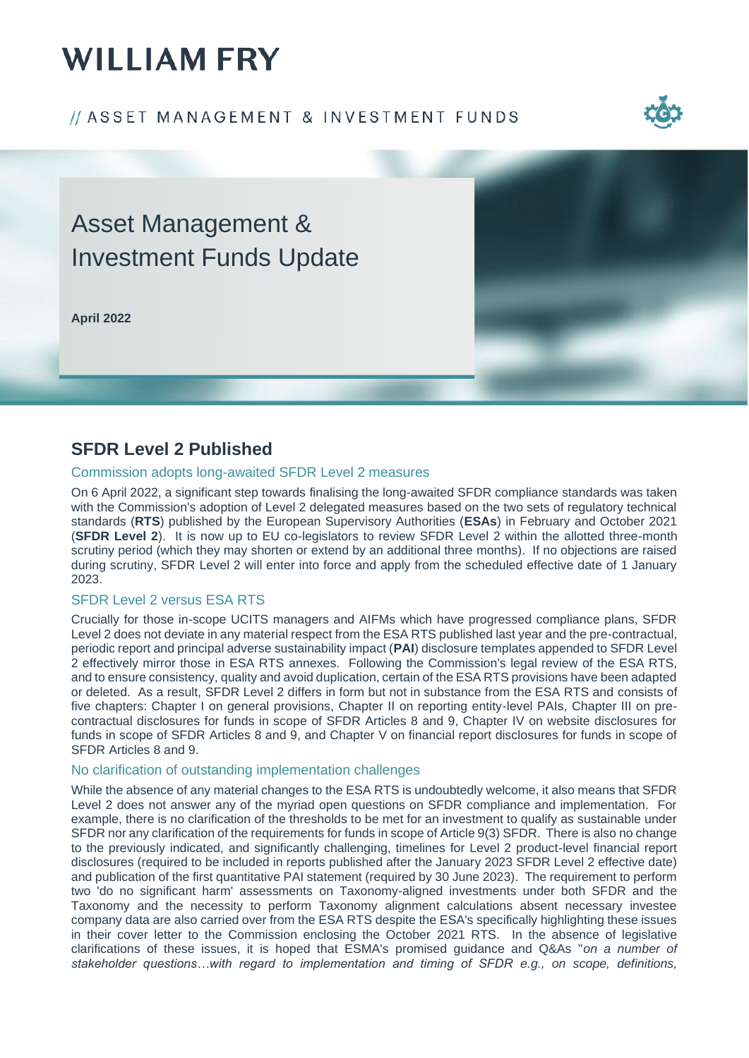# **WILLIAM FRY**

### // ASSET MANAGEMENT & INVESTMENT FUNDS



## Asset Management & Investment Funds Update

**April 2022**



### **SFDR Level 2 Published**

#### Commission adopts long-awaited SFDR Level 2 measures

On 6 April 2022, a significant step towards finalising the long-awaited SFDR compliance standards was taken with the Commission's adoption of Level 2 delegated measures based on the two sets of regulatory technical standards (**RTS**) published by the European Supervisory Authorities (**ESAs**) in February and October 2021 (**SFDR Level 2**). It is now up to EU co-legislators to review SFDR Level 2 within the allotted three-month scrutiny period (which they may shorten or extend by an additional three months). If no objections are raised during scrutiny, SFDR Level 2 will enter into force and apply from the scheduled effective date of 1 January 2023.

#### SFDR Level 2 versus ESA RTS

Crucially for those in-scope UCITS managers and AIFMs which have progressed compliance plans, SFDR Level 2 does not deviate in any material respect from the ESA RTS published last year and the pre-contractual, periodic report and principal adverse sustainability impact (**PAI**) disclosure templates appended to SFDR Level 2 effectively mirror those in ESA RTS annexes. Following the Commission's legal review of the ESA RTS, and to ensure consistency, quality and avoid duplication, certain of the ESA RTS provisions have been adapted or deleted. As a result, SFDR Level 2 differs in form but not in substance from the ESA RTS and consists of five chapters: Chapter I on general provisions, Chapter II on reporting entity-level PAIs, Chapter III on precontractual disclosures for funds in scope of SFDR Articles 8 and 9, Chapter IV on website disclosures for funds in scope of SFDR Articles 8 and 9, and Chapter V on financial report disclosures for funds in scope of SFDR Articles 8 and 9.

#### No clarification of outstanding implementation challenges

While the absence of any material changes to the ESA RTS is undoubtedly welcome, it also means that SFDR Level 2 does not answer any of the myriad open questions on SFDR compliance and implementation. For example, there is no clarification of the thresholds to be met for an investment to qualify as sustainable under SFDR nor any clarification of the requirements for funds in scope of Article 9(3) SFDR. There is also no change to the previously indicated, and significantly challenging, timelines for Level 2 product-level financial report disclosures (required to be included in reports published after the January 2023 SFDR Level 2 effective date) and publication of the first quantitative PAI statement (required by 30 June 2023). The requirement to perform two 'do no significant harm' assessments on Taxonomy-aligned investments under both SFDR and the Taxonomy and the necessity to perform Taxonomy alignment calculations absent necessary investee company data are also carried over from the ESA RTS despite the ESA's specifically highlighting these issues in their cover letter to the Commission enclosing the October 2021 RTS. In the absence of legislative clarifications of these issues, it is hoped that ESMA's promised guidance and Q&As "*on a number of stakeholder questions…with regard to implementation and timing of SFDR e.g., on scope, definitions,*